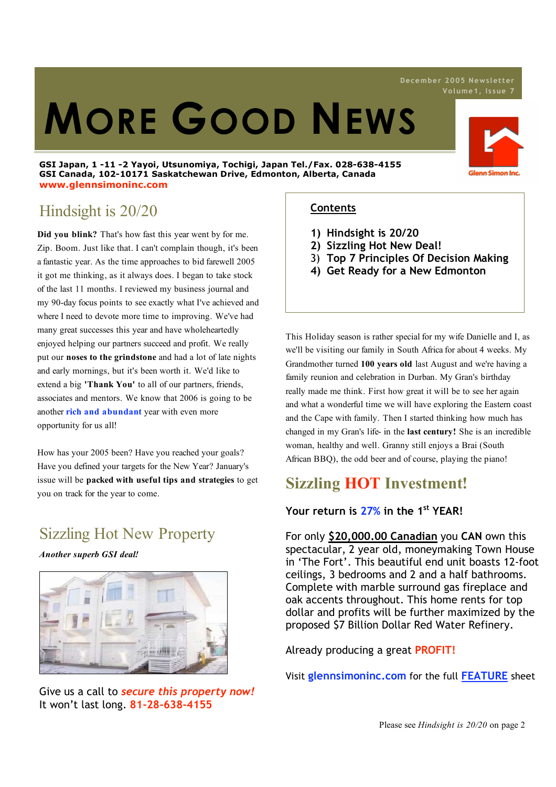# **MORE GOOD NEWS**

#### **GSI Japan, 1 -11 -2 Yayoi, Utsunomiya, Tochigi, Japan Tel./Fax. 028-638-4155 GSI Canada, 102-10171 Saskatchewan Drive, Edmonton, Alberta, Canada www.glennsimoninc.com**



## Hindsight is 20/20

**Did you blink?** That's how fast this year went by for me. Zip. Boom. Just like that. I can't complain though, it's been a fantastic year. As the time approaches to bid farewell 2005 it got me thinking, as it always does. I began to take stock of the last 11 months. I reviewed my business journal and my 90-day focus points to see exactly what I've achieved and where I need to devote more time to improving. We've had many great successes this year and have wholeheartedly enjoyed helping our partners succeed and profit. We really put our **noses to the grindstone** and had a lot of late nights and early mornings, but it's been worth it. We'd like to extend a big **'Thank You'** to all of our partners, friends, associates and mentors. We know that 2006 is going to be another **rich and abundant** year with even more opportunity for us all!

How has your 2005 been? Have you reached your goals? Have you defined your targets for the New Year? January's issue will be **packed with useful tips and strategies** to get you on track for the year to come.

# Sizzling Hot New Property

*Another superb GSI deal!*



Give us a call to *secure this property now!* It won't last long. **81-28-638-4155**

## **Contents**

- **1) Hindsight is 20/20**
- **2) Sizzling Hot New Deal!**
- 3) **Top 7 Principles Of Decision Making**
- **4) Get Ready for a New Edmonton**

This Holiday season is rather special for my wife Danielle and I, as we'll be visiting our family in South Africa for about 4 weeks. My Grandmother turned **100 years old** last August and we're having a family reunion and celebration in Durban. My Gran's birthday really made me think. First how great it will be to see her again and what a wonderful time we will have exploring the Eastern coast and the Cape with family. Then I started thinking how much has changed in my Gran's life- in the **last century!** She is an incredible woman, healthy and well. Granny still enjoys a Brai (South African BBQ), the odd beer and of course, playing the piano!

## **Sizzling HOT Investment!**

## **Your return is 27% in the 1st YEAR!**

For only **\$20,000.00 Canadian** you **CAN** own this spectacular, 2 year old, moneymaking Town House in 'The Fort'. This beautiful end unit boasts 12-foot ceilings, 3 bedrooms and 2 and a half bathrooms. Complete with marble surround gas fireplace and oak accents throughout. This home rents for top dollar and profits will be further maximized by the proposed \$7 Billion Dollar Red Water Refinery.

Already producing a great **PROFIT!**

Visit **glennsimoninc.com** for the full **FEATURE** sheet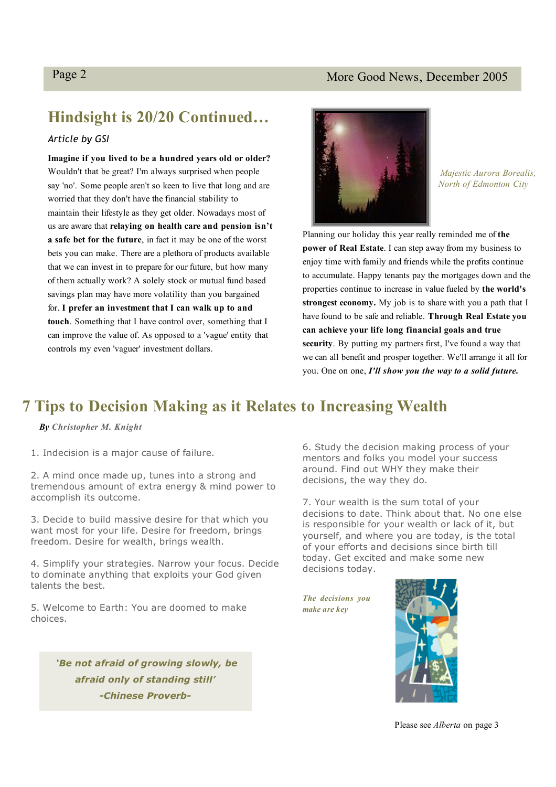## Page 2 More Good News, December 2005

# **Hindsight is 20/20 Continued…**

## *Article by GSI*

**Imagine if you lived to be a hundred years old or older?** Wouldn't that be great? I'm always surprised when people say 'no'. Some people aren't so keen to live that long and are worried that they don't have the financial stability to maintain their lifestyle as they get older. Nowadays most of us are aware that **relaying on health care and pension isn't a safe bet for the future**, in fact it may be one of the worst bets you can make. There are a plethora of products available that we can invest in to prepare for our future, but how many of them actually work? A solely stock or mutual fund based savings plan may have more volatility than you bargained for. **I prefer an investment that I can walk up to and touch**. Something that I have control over, something that I can improve the value of. As opposed to a 'vague' entity that controls my even 'vaguer' investment dollars.



*Majestic Aurora Borealis, North of Edmonton City*

Planning our holiday this year really reminded me of **the power of Real Estate**. I can step away from my business to enjoy time with family and friends while the profits continue to accumulate. Happy tenants pay the mortgages down and the properties continue to increase in value fueled by **the world's strongest economy.** My job is to share with you a path that I have found to be safe and reliable. **Through Real Estate you can achieve your life long financial goals and true security**. By putting my partners first, I've found a way that we can all benefit and prosper together. We'll arrange it all for you. One on one, *I'll show you the way to a solid future.*

## **7 Tips to Decision Making as it Relates to Increasing Wealth**

## *By Christopher M. Knight*

1. Indecision is a major cause of failure.

2. A mind once made up, tunes into a strong and tremendous amount of extra energy & mind power to accomplish its outcome.

3. Decide to build massive desire for that which you want most for your life. Desire for freedom, brings freedom. Desire for wealth, brings wealth.

4. Simplify your strategies. Narrow your focus. Decide to dominate anything that exploits your God given talents the best.

5. Welcome to Earth: You are doomed to make choices.

> *'Be not afraid of growing slowly, be afraid only of standing still' -Chinese Proverb-*

6. Study the decision making process of your mentors and folks you model your success around. Find out WHY they make their decisions, the way they do.

7. Your wealth is the sum total of your decisions to date. Think about that. No one else is responsible for your wealth or lack of it, but yourself, and where you are today, is the total of your efforts and decisions since birth till today. Get excited and make some new decisions today.

*The decisions you make are key*



Please see *Alberta* on page 3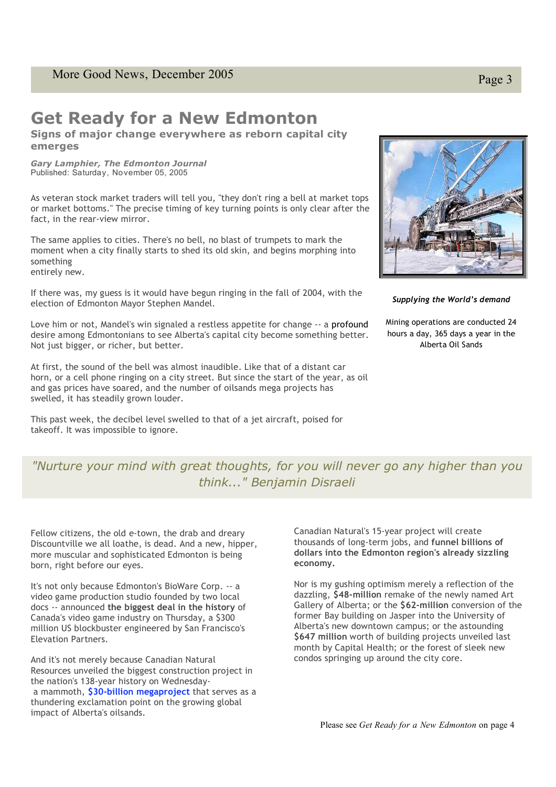## **Get Ready for a New Edmonton**

**Signs of major change everywhere as reborn capital city emerges**

*Gary Lamphier, The Edmonton Journal* Published: Saturday, November 05, 2005

As veteran stock market traders will tell you, "they don't ring a bell at market tops or market bottoms." The precise timing of key turning points is only clear after the fact, in the rear-view mirror.

The same applies to cities. There's no bell, no blast of trumpets to mark the moment when a city finally starts to shed its old skin, and begins morphing into something entirely new.

If there was, my guess is it would have begun ringing in the fall of 2004, with the election of Edmonton Mayor Stephen Mandel.

Love him or not, Mandel's win signaled a restless appetite for change -- a profound desire among Edmontonians to see Alberta's capital city become something better. Not just bigger, or richer, but better.

At first, the sound of the bell was almost inaudible. Like that of a distant car horn, or a cell phone ringing on a city street. But since the start of the year, as oil and gas prices have soared, and the number of oilsands mega projects has swelled, it has steadily grown louder.

This past week, the decibel level swelled to that of a jet aircraft, poised for takeoff. It was impossible to ignore.



*Supplying the World's demand*

Mining operations are conducted 24 hours a day, 365 days a year in the Alberta Oil Sands

#### "Nurture your mind with great thoughts, for you will r "Nurture your mind with great *thoughts, for you will never go any higher than you* It's not only because Edmonton's BioWare Corp. -- a video game production *think..." Benjamin Disraeli*

Fellow citizens, the old e-town, the drab and dreary **Example 18 Canadian N** Discountville we all loathe, is dead. And a new, hipper, thousands of long more muscular and sophisticated Edmonton is being **a** a **dollars in** born, right before our eyes. The growing global impact of Alberta's oils of Alberta's oils

Canadian Natural's 15-year project will create thousands of long-term jobs, It's not only because Edmonton's BioWare Corp. -- a Nor is my gush into the Edmonton region of the Edmonton region of the Edmonton region of the Edmonton region of the Edmonton region of the Edmonton region of the Edmonton economy. docs -- announced **the biggest deal in the history** of anda's video game industry on Thursday, a \$300 former Bay building Canada's video game industry on Thursday, a \$300 emake of the newly of the second of the second art Gallery of Alberta's new Elevation Partners. The formulation of the formulation of the S647 million video game production studio founded by two local

And it's not merely because Canadian Natural health; or the formulation of the formulation of the formulation Resources unveiled the biggest construction project in a mammoth, **\$30-billion megaproject** that serves as a mammoth, **\$30-billion megaproject** that serves as a thundering exclamation point on the growing global<br>impact of Alberta's eileands impact of Alberta's oilsands. the nation's 138-year history on Wednesday-

Canadian Natural's 15-year project will create thousands of long-term jobs, and **funnel billions of dollars into the Edmonton region's already sizzling economy.**

month by Capital Health; or the forest of sleek new Nor is my gushing optimism merely a reflection of the dazzling, **\$48-million** remake of the newly named Art Gallery of Alberta; or the **\$62-million** conversion of the former Bay building on Jasper into the University of Alberta's new downtown campus; or the astounding **\$647 million** worth of building projects unveiled last condos springing up around the city core.